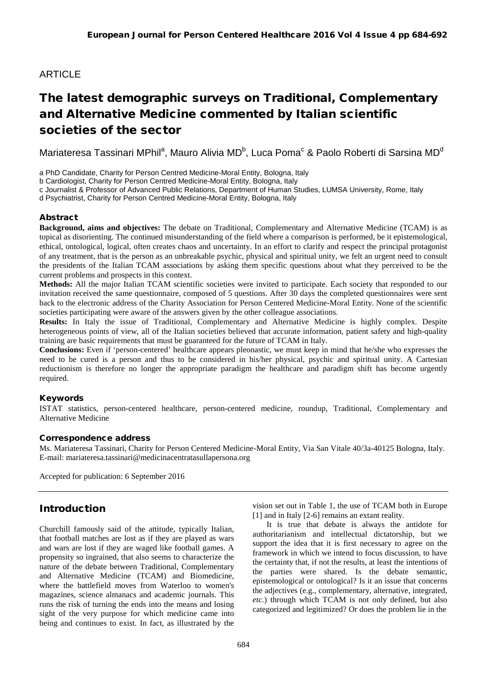# **ARTICLE**

# The latest demographic surveys on Traditional, Complementary and Alternative Medicine commented by Italian scientific societies of the sector

Mariateresa Tassinari MPhil<sup>a</sup>, Mauro Alivia MD<sup>b</sup>, Luca Poma<sup>c</sup> & Paolo Roberti di Sarsina MD<sup>d</sup>

a PhD Candidate, Charity for Person Centred Medicine-Moral Entity, Bologna, Italy

b Cardiologist, Charity for Person Centred Medicine-Moral Entity, Bologna, Italy

c Journalist & Professor of Advanced Public Relations, Department of Human Studies, LUMSA University, Rome, Italy

d Psychiatrist, Charity for Person Centred Medicine-Moral Entity, Bologna, Italy

### Abstract

**Background, aims and objectives:** The debate on Traditional, Complementary and Alternative Medicine (TCAM) is as topical as disorienting. The continued misunderstanding of the field where a comparison is performed, be it epistemological, ethical, ontological, logical, often creates chaos and uncertainty. In an effort to clarify and respect the principal protagonist of any treatment, that is the person as an unbreakable psychic, physical and spiritual unity, we felt an urgent need to consult the presidents of the Italian TCAM associations by asking them specific questions about what they perceived to be the current problems and prospects in this context.

**Methods:** All the major Italian TCAM scientific societies were invited to participate. Each society that responded to our invitation received the same questionnaire, composed of 5 questions. After 30 days the completed questionnaires were sent back to the electronic address of the Charity Association for Person Centered Medicine-Moral Entity. None of the scientific societies participating were aware of the answers given by the other colleague associations.

**Results:** In Italy the issue of Traditional, Complementary and Alternative Medicine is highly complex. Despite heterogeneous points of view, all of the Italian societies believed that accurate information, patient safety and high-quality training are basic requirements that must be guaranteed for the future of TCAM in Italy.

**Conclusions:** Even if 'person-centered' healthcare appears pleonastic, we must keep in mind that he/she who expresses the need to be cured is a person and thus to be considered in his/her physical, psychic and spiritual unity. A Cartesian reductionism is therefore no longer the appropriate paradigm the healthcare and paradigm shift has become urgently required.

### Keywords

ISTAT statistics, person-centered healthcare, person-centered medicine, roundup, Traditional, Complementary and Alternative Medicine

#### Correspondence address

Ms. Mariateresa Tassinari, Charity for Person Centered Medicine-Moral Entity, Via San Vitale 40/3a-40125 Bologna, Italy. E-mail: mariateresa.tassinari@medicinacentratasullapersona.org

Accepted for publication: 6 September 2016

### Introduction

Churchill famously said of the attitude, typically Italian, that football matches are lost as if they are played as wars and wars are lost if they are waged like football games. A propensity so ingrained, that also seems to characterize the nature of the debate between Traditional, Complementary and Alternative Medicine (TCAM) and Biomedicine, where the battlefield moves from Waterloo to women's magazines, science almanacs and academic journals. This runs the risk of turning the ends into the means and losing sight of the very purpose for which medicine came into being and continues to exist. In fact, as illustrated by the vision set out in Table 1, the use of TCAM both in Europe [1] and in Italy [2-6] remains an extant reality.

It is true that debate is always the antidote for authoritarianism and intellectual dictatorship, but we support the idea that it is first necessary to agree on the framework in which we intend to focus discussion, to have the certainty that, if not the results, at least the intentions of the parties were shared. Is the debate semantic, epistemological or ontological? Is it an issue that concerns the adjectives (e.g., complementary, alternative, integrated, *etc*.) through which TCAM is not only defined, but also categorized and legitimized? Or does the problem lie in the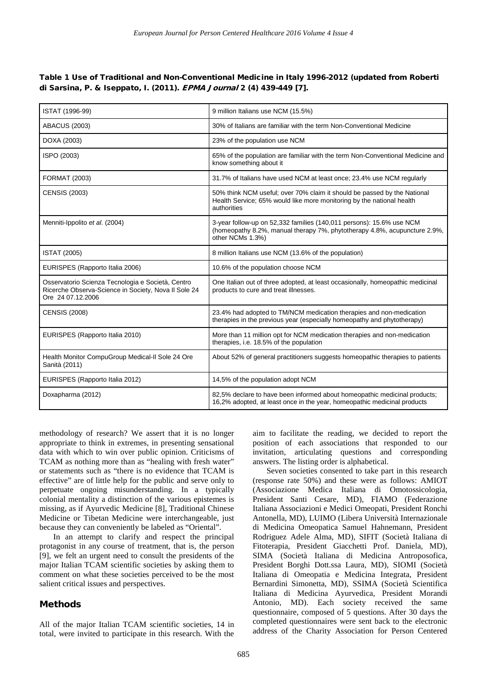#### Table 1 Use of Traditional and Non-Conventional Medicine in Italy 1996-2012 (updated from Roberti di Sarsina, P. & Iseppato, I. (2011). EPMA Journal 2 (4) 439-449 [7].

| ISTAT (1996-99)                                                                                                                | 9 million Italians use NCM (15.5%)                                                                                                                                    |
|--------------------------------------------------------------------------------------------------------------------------------|-----------------------------------------------------------------------------------------------------------------------------------------------------------------------|
| <b>ABACUS (2003)</b>                                                                                                           | 30% of Italians are familiar with the term Non-Conventional Medicine                                                                                                  |
| DOXA (2003)                                                                                                                    | 23% of the population use NCM                                                                                                                                         |
| ISPO (2003)                                                                                                                    | 65% of the population are familiar with the term Non-Conventional Medicine and<br>know something about it                                                             |
| <b>FORMAT (2003)</b>                                                                                                           | 31.7% of Italians have used NCM at least once; 23.4% use NCM regularly                                                                                                |
| <b>CENSIS (2003)</b>                                                                                                           | 50% think NCM useful; over 70% claim it should be passed by the National<br>Health Service; 65% would like more monitoring by the national health<br>authorities      |
| Menniti-Ippolito et al. (2004)                                                                                                 | 3-year follow-up on 52,332 families (140,011 persons): 15.6% use NCM<br>(homeopathy 8.2%, manual therapy 7%, phytotherapy 4.8%, acupuncture 2.9%,<br>other NCMs 1.3%) |
| <b>ISTAT (2005)</b>                                                                                                            | 8 million Italians use NCM (13.6% of the population)                                                                                                                  |
| EURISPES (Rapporto Italia 2006)                                                                                                | 10.6% of the population choose NCM                                                                                                                                    |
| Osservatorio Scienza Tecnologia e Società, Centro<br>Ricerche Observa-Science in Society, Nova II Sole 24<br>Ore 24 07.12.2006 | One Italian out of three adopted, at least occasionally, homeopathic medicinal<br>products to cure and treat illnesses.                                               |
| <b>CENSIS (2008)</b>                                                                                                           | 23.4% had adopted to TM/NCM medication therapies and non-medication<br>therapies in the previous year (especially homeopathy and phytotherapy)                        |
| EURISPES (Rapporto Italia 2010)                                                                                                | More than 11 million opt for NCM medication therapies and non-medication<br>therapies, i.e. 18.5% of the population                                                   |
| Health Monitor CompuGroup Medical-II Sole 24 Ore<br>Sanità (2011)                                                              | About 52% of general practitioners suggests homeopathic therapies to patients                                                                                         |
| EURISPES (Rapporto Italia 2012)                                                                                                | 14,5% of the population adopt NCM                                                                                                                                     |
| Doxapharma (2012)                                                                                                              | 82,5% declare to have been informed about homeopathic medicinal products;<br>16,2% adopted, at least once in the year, homeopathic medicinal products                 |

methodology of research? We assert that it is no longer appropriate to think in extremes, in presenting sensational data with which to win over public opinion. Criticisms of TCAM as nothing more than as "healing with fresh water" or statements such as "there is no evidence that TCAM is effective" are of little help for the public and serve only to perpetuate ongoing misunderstanding. In a typically colonial mentality a distinction of the various epistemes is missing, as if Ayurvedic Medicine [8], Traditional Chinese Medicine or Tibetan Medicine were interchangeable, just because they can conveniently be labeled as "Oriental".

In an attempt to clarify and respect the principal protagonist in any course of treatment, that is, the person [9], we felt an urgent need to consult the presidents of the major Italian TCAM scientific societies by asking them to comment on what these societies perceived to be the most salient critical issues and perspectives.

#### Methods

All of the major Italian TCAM scientific societies, 14 in total, were invited to participate in this research. With the

aim to facilitate the reading, we decided to report the position of each associations that responded to our invitation, articulating questions and corresponding answers. The listing order is alphabetical.

Seven societies consented to take part in this research (response rate 50%) and these were as follows: AMIOT (Associazione Medica Italiana di Omotossicologia, President Santi Cesare, MD), FIAMO (Federazione Italiana Associazioni e Medici Omeopati, President Ronchi Antonella, MD), LUIMO (Libera Università Internazionale di Medicina Omeopatica Samuel Hahnemann, President Rodriguez Adele Alma, MD), SIFIT (Società Italiana di Fitoterapia, President Giacchetti Prof. Daniela, MD), SIMA (Società Italiana di Medicina Antroposofica, President Borghi Dott.ssa Laura, MD), SIOMI (Società Italiana di Omeopatia e Medicina Integrata, President Bernardini Simonetta, MD), SSIMA (Società Scientifica Italiana di Medicina Ayurvedica, President Morandi Antonio, MD). Each society received the same questionnaire, composed of 5 questions. After 30 days the completed questionnaires were sent back to the electronic address of the Charity Association for Person Centered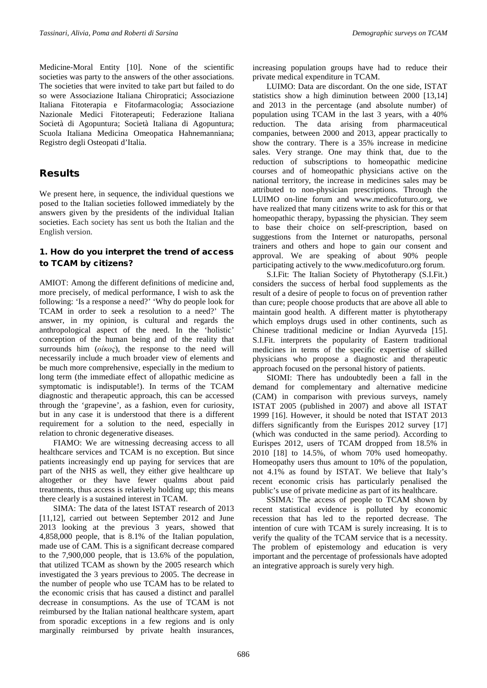Medicine-Moral Entity [10]. None of the scientific societies was party to the answers of the other associations. The societies that were invited to take part but failed to do so were Associazione Italiana Chiropratici; Associazione Italiana Fitoterapia e Fitofarmacologia; Associazione Nazionale Medici Fitoterapeuti; Federazione Italiana Società di Agopuntura; Società Italiana di Agopuntura; Scuola Italiana Medicina Omeopatica Hahnemanniana; Registro degli Osteopati d'Italia.

### Results

We present here, in sequence, the individual questions we posed to the Italian societies followed immediately by the answers given by the presidents of the individual Italian societies. Each society has sent us both the Italian and the English version.

### 1. How do you interpret the trend of access to TCAM by citizens?

AMIOT: Among the different definitions of medicine and, more precisely, of medical performance, I wish to ask the following: 'Is a response a need?' 'Why do people look for TCAM in order to seek a resolution to a need?' The answer, in my opinion, is cultural and regards the anthropological aspect of the need. In the 'holistic' conception of the human being and of the reality that surrounds him (*οίκος*), the response to the need will necessarily include a much broader view of elements and be much more comprehensive, especially in the medium to long term (the immediate effect of allopathic medicine as symptomatic is indisputable!). In terms of the TCAM diagnostic and therapeutic approach, this can be accessed through the 'grapevine', as a fashion, even for curiosity, but in any case it is understood that there is a different requirement for a solution to the need, especially in relation to chronic degenerative diseases.

FIAMO: We are witnessing decreasing access to all healthcare services and TCAM is no exception. But since patients increasingly end up paying for services that are part of the NHS as well, they either give healthcare up altogether or they have fewer qualms about paid treatments, thus access is relatively holding up; this means there clearly is a sustained interest in TCAM.

SIMA: The data of the latest ISTAT research of 2013 [11,12], carried out between September 2012 and June 2013 looking at the previous 3 years, showed that 4,858,000 people, that is 8.1% of the Italian population, made use of CAM. This is a significant decrease compared to the 7,900,000 people, that is 13.6% of the population, that utilized TCAM as shown by the 2005 research which investigated the 3 years previous to 2005. The decrease in the number of people who use TCAM has to be related to the economic crisis that has caused a distinct and parallel decrease in consumptions. As the use of TCAM is not reimbursed by the Italian national healthcare system, apart from sporadic exceptions in a few regions and is only marginally reimbursed by private health insurances, increasing population groups have had to reduce their private medical expenditure in TCAM.

LUIMO: Data are discordant. On the one side, ISTAT statistics show a high diminution between 2000 [13,14] and 2013 in the percentage (and absolute number) of population using TCAM in the last 3 years, with a 40% reduction. The data arising from pharmaceutical companies, between 2000 and 2013, appear practically to show the contrary. There is a 35% increase in medicine sales. Very strange. One may think that, due to the reduction of subscriptions to homeopathic medicine courses and of homeopathic physicians active on the national territory, the increase in medicines sales may be attributed to non-physician prescriptions. Through the LUIMO on-line forum and [www.medicofuturo.org,](http://www.medicofuturo.org/) we have realized that many citizens write to ask for this or that homeopathic therapy, bypassing the physician. They seem to base their choice on self-prescription, based on suggestions from the Internet or naturopaths, personal trainers and others and hope to gain our consent and approval. We are speaking of about 90% people participating actively to the [www.medicofuturo.org](http://www.medicofuturo.org/) forum.

S.I.Fit: The Italian Society of Phytotherapy (S.I.Fit.) considers the success of herbal food supplements as the result of a desire of people to focus on of prevention rather than cure; people choose products that are above all able to maintain good health. A different matter is phytotherapy which employs drugs used in other continents, such as Chinese traditional medicine or Indian Ayurveda [15]. S.I.Fit. interprets the popularity of Eastern traditional medicines in terms of the specific expertise of skilled physicians who propose a diagnostic and therapeutic approach focused on the personal history of patients.

SIOMI: There has undoubtedly been a fall in the demand for complementary and alternative medicine (CAM) in comparison with previous surveys, namely ISTAT 2005 (published in 2007) and above all ISTAT 1999 [16]. However, it should be noted that ISTAT 2013 differs significantly from the Eurispes 2012 survey [17] (which was conducted in the same period). According to Eurispes 2012, users of TCAM dropped from 18.5% in 2010 [18] to 14.5%, of whom 70% used homeopathy. Homeopathy users thus amount to 10% of the population, not 4.1% as found by ISTAT. We believe that Italy's recent economic crisis has particularly penalised the public's use of private medicine as part of its healthcare.

SSIMA: The access of people to TCAM shown by recent statistical evidence is polluted by economic recession that has led to the reported decrease. The intention of cure with TCAM is surely increasing. It is to verify the quality of the TCAM service that is a necessity. The problem of epistemology and education is very important and the percentage of professionals have adopted an integrative approach is surely very high.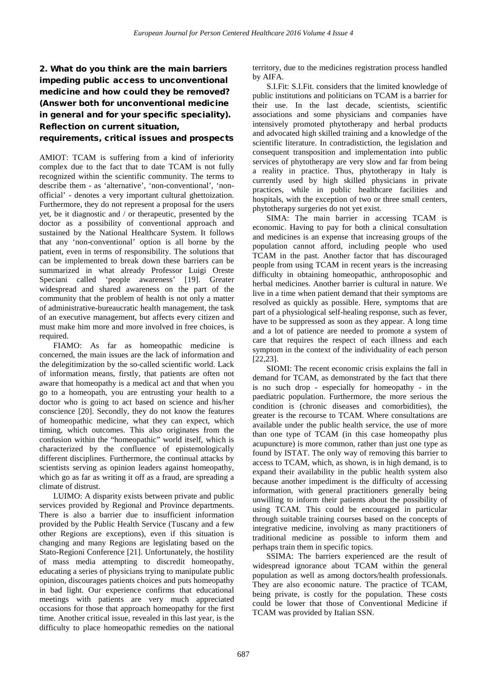## 2. What do you think are the main barriers impeding public access to unconventional medicine and how could they be removed? (Answer both for unconventional medicine in general and for your specific speciality). Reflection on current situation,

#### requirements, critical issues and prospects

AMIOT: TCAM is suffering from a kind of inferiority complex due to the fact that to date TCAM is not fully recognized within the scientific community. The terms to describe them - as 'alternative', 'non-conventional', 'nonofficial' - denotes a very important cultural ghettoization. Furthermore, they do not represent a proposal for the users yet, be it diagnostic and / or therapeutic, presented by the doctor as a possibility of conventional approach and sustained by the National Healthcare System. It follows that any 'non-conventional' option is all borne by the patient, even in terms of responsibility. The solutions that can be implemented to break down these barriers can be summarized in what already Professor Luigi Oreste Speciani called 'people awareness' [19]. Greater widespread and shared awareness on the part of the community that the problem of health is not only a matter of administrative-bureaucratic health management, the task of an executive management, but affects every citizen and must make him more and more involved in free choices, is required.

FIAMO: As far as homeopathic medicine is concerned, the main issues are the lack of information and the delegitimization by the so-called scientific world. Lack of information means, firstly, that patients are often not aware that homeopathy is a medical act and that when you go to a homeopath, you are entrusting your health to a doctor who is going to act based on science and his/her conscience [20]. Secondly, they do not know the features of homeopathic medicine, what they can expect, which timing, which outcomes. This also originates from the confusion within the "homeopathic" world itself, which is characterized by the confluence of epistemologically different disciplines. Furthermore, the continual attacks by scientists serving as opinion leaders against homeopathy, which go as far as writing it off as a fraud, are spreading a climate of distrust.

LUIMO: A disparity exists between private and public services provided by Regional and Province departments. There is also a barrier due to insufficient information provided by the Public Health Service (Tuscany and a few other Regions are exceptions), even if this situation is changing and many Regions are legislating based on the Stato-Regioni Conference [21]. Unfortunately, the hostility of mass media attempting to discredit homeopathy, educating a series of physicians trying to manipulate public opinion, discourages patients choices and puts homeopathy in bad light. Our experience confirms that educational meetings with patients are very much appreciated occasions for those that approach homeopathy for the first time. Another critical issue, revealed in this last year, is the difficulty to place homeopathic remedies on the national

territory, due to the medicines registration process handled by AIFA.

S.I.Fit: S.I.Fit. considers that the limited knowledge of public institutions and politicians on TCAM is a barrier for their use. In the last decade, scientists, scientific associations and some physicians and companies have intensively promoted phytotherapy and herbal products and advocated high skilled training and a knowledge of the scientific literature. In contradistiction, the legislation and consequent transposition and implementation into public services of phytotherapy are very slow and far from being a reality in practice. Thus, phytotherapy in Italy is currently used by high skilled physicians in private practices, while in public healthcare facilities and hospitals, with the exception of two or three small centers, phytotherapy surgeries do not yet exist.

SIMA: The main barrier in accessing TCAM is economic. Having to pay for both a clinical consultation and medicines is an expense that increasing groups of the population cannot afford, including people who used TCAM in the past. Another factor that has discouraged people from using TCAM in recent years is the increasing difficulty in obtaining homeopathic, anthroposophic and herbal medicines. Another barrier is cultural in nature. We live in a time when patient demand that their symptoms are resolved as quickly as possible. Here, symptoms that are part of a physiological self-healing response, such as fever, have to be suppressed as soon as they appear. A long time and a lot of patience are needed to promote a system of care that requires the respect of each illness and each symptom in the context of the individuality of each person [22,23].

SIOMI: The recent economic crisis explains the fall in demand for TCAM, as demonstrated by the fact that there is no such drop - especially for homeopathy - in the paediatric population. Furthermore, the more serious the condition is (chronic diseases and comorbidities), the greater is the recourse to TCAM. Where consultations are available under the public health service, the use of more than one type of TCAM (in this case homeopathy plus acupuncture) is more common, rather than just one type as found by ISTAT. The only way of removing this barrier to access to TCAM, which, as shown, is in high demand, is to expand their availability in the public health system also because another impediment is the difficulty of accessing information, with general practitioners generally being unwilling to inform their patients about the possibility of using TCAM. This could be encouraged in particular through suitable training courses based on the concepts of integrative medicine, involving as many practitioners of traditional medicine as possible to inform them and perhaps train them in specific topics.

SSIMA: The barriers experienced are the result of widespread ignorance about TCAM within the general population as well as among doctors/health professionals. They are also economic nature. The practice of TCAM, being private, is costly for the population. These costs could be lower that those of Conventional Medicine if TCAM was provided by Italian SSN.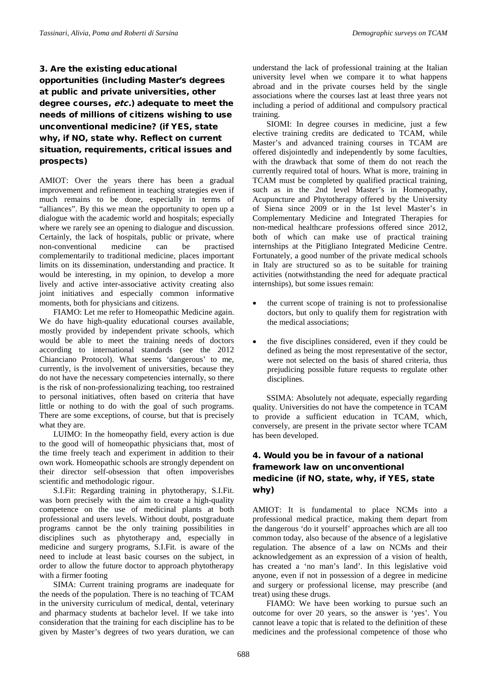### 3. Are the existing educational opportunities (including Master's degrees at public and private universities, other degree courses, etc.) adequate to meet the needs of millions of citizens wishing to use unconventional medicine? (if YES, state why, if NO, state why. Reflect on current situation, requirements, critical issues and prospects)

AMIOT: Over the years there has been a gradual improvement and refinement in teaching strategies even if much remains to be done, especially in terms of "alliances". By this we mean the opportunity to open up a dialogue with the academic world and hospitals; especially where we rarely see an opening to dialogue and discussion. Certainly, the lack of hospitals, public or private, where non-conventional medicine can be practised complementarily to traditional medicine, places important limits on its dissemination, understanding and practice. It would be interesting, in my opinion, to develop a more lively and active inter-associative activity creating also joint initiatives and especially common informative moments, both for physicians and citizens.

FIAMO: Let me refer to Homeopathic Medicine again. We do have high-quality educational courses available, mostly provided by independent private schools, which would be able to meet the training needs of doctors according to international standards (see the 2012 Chianciano Protocol). What seems 'dangerous' to me, currently, is the involvement of universities, because they do not have the necessary competencies internally, so there is the risk of non-professionalizing teaching, too restrained to personal initiatives, often based on criteria that have little or nothing to do with the goal of such programs. There are some exceptions, of course, but that is precisely what they are.

LUIMO: In the homeopathy field, every action is due to the good will of homeopathic physicians that, most of the time freely teach and experiment in addition to their own work. Homeopathic schools are strongly dependent on their director self-obsession that often impoverishes scientific and methodologic rigour.

S.I.Fit: Regarding training in phytotherapy, S.I.Fit. was born precisely with the aim to create a high-quality competence on the use of medicinal plants at both professional and users levels. Without doubt, postgraduate programs cannot be the only training possibilities in disciplines such as phytotherapy and, especially in medicine and surgery programs, S.I.Fit. is aware of the need to include at least basic courses on the subject, in order to allow the future doctor to approach phytotherapy with a firmer footing

SIMA: Current training programs are inadequate for the needs of the population. There is no teaching of TCAM in the university curriculum of medical, dental, veterinary and pharmacy students at bachelor level. If we take into consideration that the training for each discipline has to be given by Master's degrees of two years duration, we can

understand the lack of professional training at the Italian university level when we compare it to what happens abroad and in the private courses held by the single associations where the courses last at least three years not including a period of additional and compulsory practical training.

SIOMI: In degree courses in medicine, just a few elective training credits are dedicated to TCAM, while Master's and advanced training courses in TCAM are offered disjointedly and independently by some faculties, with the drawback that some of them do not reach the currently required total of hours. What is more, training in TCAM must be completed by qualified practical training, such as in the 2nd level Master's in Homeopathy, Acupuncture and Phytotherapy offered by the University of Siena since 2009 or in the 1st level Master's in Complementary Medicine and Integrated Therapies for non-medical healthcare professions offered since 2012, both of which can make use of practical training internships at the Pitigliano Integrated Medicine Centre. Fortunately, a good number of the private medical schools in Italy are structured so as to be suitable for training activities (notwithstanding the need for adequate practical internships), but some issues remain:

- the current scope of training is not to professionalise doctors, but only to qualify them for registration with the medical associations;
- the five disciplines considered, even if they could be defined as being the most representative of the sector, were not selected on the basis of shared criteria, thus prejudicing possible future requests to regulate other disciplines.

SSIMA: Absolutely not adequate, especially regarding quality. Universities do not have the competence in TCAM to provide a sufficient education in TCAM, which, conversely, are present in the private sector where TCAM has been developed.

### 4. Would you be in favour of a national framework law on unconventional medicine (if NO, state, why, if YES, state why)

AMIOT: It is fundamental to place NCMs into a professional medical practice, making them depart from the dangerous 'do it yourself' approaches which are all too common today, also because of the absence of a legislative regulation. The absence of a law on NCMs and their acknowledgement as an expression of a vision of health, has created a 'no man's land'. In this legislative void anyone, even if not in possession of a degree in medicine and surgery or professional license, may prescribe (and treat) using these drugs.

FIAMO: We have been working to pursue such an outcome for over 20 years, so the answer is 'yes'. You cannot leave a topic that is related to the definition of these medicines and the professional competence of those who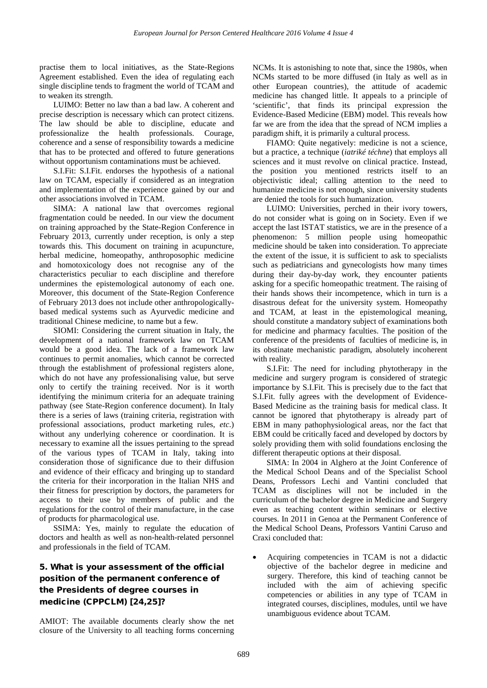practise them to local initiatives, as the State-Regions Agreement established. Even the idea of regulating each single discipline tends to fragment the world of TCAM and to weaken its strength.

LUIMO: Better no law than a bad law. A coherent and precise description is necessary which can protect citizens. The law should be able to discipline, educate and professionalize the health professionals. Courage, coherence and a sense of responsibility towards a medicine that has to be protected and offered to future generations without opportunism contaminations must be achieved.

S.I.Fit: S.I.Fit. endorses the hypothesis of a national law on TCAM, especially if considered as an integration and implementation of the experience gained by our and other associations involved in TCAM.

SIMA: A national law that overcomes regional fragmentation could be needed. In our view the document on training approached by the State-Region Conference in February 2013, currently under reception, is only a step towards this. This document on training in acupuncture, herbal medicine, homeopathy, anthroposophic medicine and homotoxicology does not recognise any of the characteristics peculiar to each discipline and therefore undermines the epistemological autonomy of each one. Moreover, this document of the State-Region Conference of February 2013 does not include other anthropologicallybased medical systems such as Ayurvedic medicine and traditional Chinese medicine, to name but a few.

SIOMI: Considering the current situation in Italy, the development of a national framework law on TCAM would be a good idea. The lack of a framework law continues to permit anomalies, which cannot be corrected through the establishment of professional registers alone, which do not have any professionalising value, but serve only to certify the training received. Nor is it worth identifying the minimum criteria for an adequate training pathway (see State-Region conference document). In Italy there is a series of laws (training criteria, registration with professional associations, product marketing rules, *etc*.) without any underlying coherence or coordination. It is necessary to examine all the issues pertaining to the spread of the various types of TCAM in Italy, taking into consideration those of significance due to their diffusion and evidence of their efficacy and bringing up to standard the criteria for their incorporation in the Italian NHS and their fitness for prescription by doctors, the parameters for access to their use by members of public and the regulations for the control of their manufacture, in the case of products for pharmacological use.

SSIMA: Yes, mainly to regulate the education of doctors and health as well as non-health-related personnel and professionals in the field of TCAM.

### 5. What is your assessment of the official position of the permanent conference of the Presidents of degree courses in medicine (CPPCLM) [24,25]?

AMIOT: The available documents clearly show the net closure of the University to all teaching forms concerning NCMs. It is astonishing to note that, since the 1980s, when NCMs started to be more diffused (in Italy as well as in other European countries), the attitude of academic medicine has changed little. It appeals to a principle of 'scientific', that finds its principal expression the Evidence-Based Medicine (EBM) model. This reveals how far we are from the idea that the spread of NCM implies a paradigm shift, it is primarily a cultural process.

FIAMO: Quite negatively: medicine is not a science, but a practice, a technique (*iatriké téchne*) that employs all sciences and it must revolve on clinical practice. Instead, the position you mentioned restricts itself to an objectivistic ideal; calling attention to the need to humanize medicine is not enough, since university students are denied the tools for such humanization.

LUIMO: Universities, perched in their ivory towers, do not consider what is going on in Society. Even if we accept the last ISTAT statistics, we are in the presence of a phenomenon: 5 million people using homeopathic medicine should be taken into consideration. To appreciate the extent of the issue, it is sufficient to ask to specialists such as pediatricians and gynecologists how many times during their day-by-day work, they encounter patients asking for a specific homeopathic treatment. The raising of their hands shows their incompetence, which in turn is a disastrous defeat for the university system. Homeopathy and TCAM, at least in the epistemological meaning, should constitute a mandatory subject of examinations both for medicine and pharmacy faculties. The position of the conference of the presidents of faculties of medicine is, in its obstinate mechanistic paradigm, absolutely incoherent with reality.

S.I.Fit: The need for including phytotherapy in the medicine and surgery program is considered of strategic importance by S.I.Fit. This is precisely due to the fact that S.I.Fit. fully agrees with the development of Evidence-Based Medicine as the training basis for medical class. It cannot be ignored that phytotherapy is already part of EBM in many pathophysiological areas, nor the fact that EBM could be critically faced and developed by doctors by solely providing them with solid foundations enclosing the different therapeutic options at their disposal.

SIMA: In 2004 in Alghero at the Joint Conference of the Medical School Deans and of the Specialist School Deans, Professors Lechi and Vantini concluded that TCAM as disciplines will not be included in the curriculum of the bachelor degree in Medicine and Surgery even as teaching content within seminars or elective courses. In 2011 in Genoa at the Permanent Conference of the Medical School Deans, Professors Vantini Caruso and Craxi concluded that:

• Acquiring competencies in TCAM is not a didactic objective of the bachelor degree in medicine and surgery. Therefore, this kind of teaching cannot be included with the aim of achieving specific competencies or abilities in any type of TCAM in integrated courses, disciplines, modules, until we have unambiguous evidence about TCAM.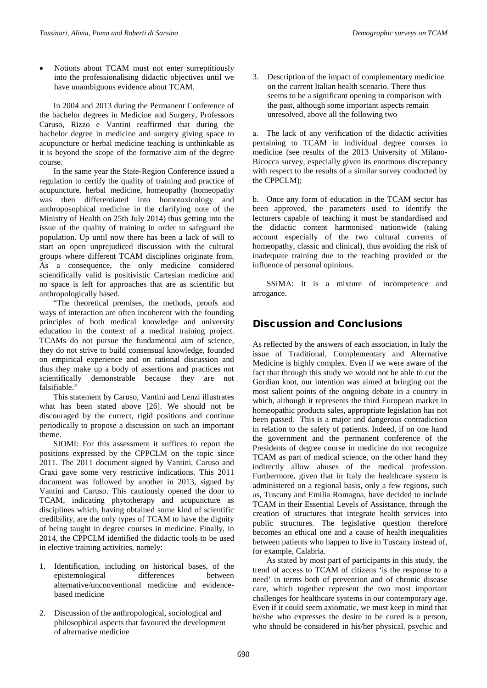Notions about TCAM must not enter surreptitiously into the professionalising didactic objectives until we have unambiguous evidence about TCAM.

In 2004 and 2013 during the Permanent Conference of the bachelor degrees in Medicine and Surgery, Professors Caruso, Rizzo e Vantini reaffirmed that during the bachelor degree in medicine and surgery giving space to acupuncture or herbal medicine teaching is unthinkable as it is beyond the scope of the formative aim of the degree course.

In the same year the State-Region Conference issued a regulation to certify the quality of training and practice of acupuncture, herbal medicine, homeopathy (homeopathy was then differentiated into homotoxicology and anthroposophical medicine in the clarifying note of the Ministry of Health on 25th July 2014) thus getting into the issue of the quality of training in order to safeguard the population. Up until now there has been a lack of will to start an open unprejudiced discussion with the cultural groups where different TCAM disciplines originate from. As a consequence, the only medicine considered scientifically valid is positivistic Cartesian medicine and no space is left for approaches that are as scientific but anthropologically based.

"The theoretical premises, the methods, proofs and ways of interaction are often incoherent with the founding principles of both medical knowledge and university education in the context of a medical training project. TCAMs do not pursue the fundamental aim of science, they do not strive to build consensual knowledge, founded on empirical experience and on rational discussion and thus they make up a body of assertions and practices not scientifically demonstrable because they are not falsifiable."

This statement by Caruso, Vantini and Lenzi illustrates what has been stated above [26]. We should not be discouraged by the currect, rigid positions and continue periodically to propose a discussion on such an important theme.

SIOMI: For this assessment it suffices to report the positions expressed by the CPPCLM on the topic since 2011. The 2011 document signed by Vantini, Caruso and Craxi gave some very restrictive indications. This 2011 document was followed by another in 2013, signed by Vantini and Caruso. This cautiously opened the door to TCAM, indicating phytotherapy and acupuncture as disciplines which, having obtained some kind of scientific credibility, are the only types of TCAM to have the dignity of being taught in degree courses in medicine. Finally, in 2014, the CPPCLM identified the didactic tools to be used in elective training activities, namely:

- 1. Identification, including on historical bases, of the epistemological differences between alternative/unconventional medicine and evidencebased medicine
- 2. Discussion of the anthropological, sociological and philosophical aspects that favoured the development of alternative medicine

3. Description of the impact of complementary medicine on the current Italian health scenario. There thus seems to be a significant opening in comparison with the past, although some important aspects remain unresolved, above all the following two

a. The lack of any verification of the didactic activities pertaining to TCAM in individual degree courses in medicine (see results of the 2013 University of Milano-Bicocca survey, especially given its enormous discrepancy with respect to the results of a similar survey conducted by the CPPCLM);

b. Once any form of education in the TCAM sector has been approved, the parameters used to identify the lecturers capable of teaching it must be standardised and the didactic content harmonised nationwide (taking account especially of the two cultural currents of homeopathy, classic and clinical), thus avoiding the risk of inadequate training due to the teaching provided or the influence of personal opinions.

SSIMA: It is a mixture of incompetence and arrogance.

# Discussion and Conclusions

As reflected by the answers of each association, in Italy the issue of Traditional, Complementary and Alternative Medicine is highly complex. Even if we were aware of the fact that through this study we would not be able to cut the Gordian knot, our intention was aimed at bringing out the most salient points of the ongoing debate in a country in which, although it represents the third European market in homeopathic products sales, appropriate legislation has not been passed. This is a major and dangerous contradiction in relation to the safety of patients. Indeed, if on one hand the government and the permanent conference of the Presidents of degree course in medicine do not recognize TCAM as part of medical science, on the other hand they indirectly allow abuses of the medical profession. Furthermore, given that in Italy the healthcare system is administered on a regional basis, only a few regions, such as, Tuscany and Emilia Romagna, have decided to include TCAM in their Essential Levels of Assistance, through the creation of structures that integrate health services into public structures. The legislative question therefore becomes an ethical one and a cause of health inequalities between patients who happen to live in Tuscany instead of, for example, Calabria.

As stated by most part of participants in this study, the trend of access to TCAM of citizens 'is the response to a need' in terms both of prevention and of chronic disease care, which together represent the two most important challenges for healthcare systems in our contemporary age. Even if it could seem axiomatic, we must keep in mind that he/she who expresses the desire to be cured is a person, who should be considered in his/her physical, psychic and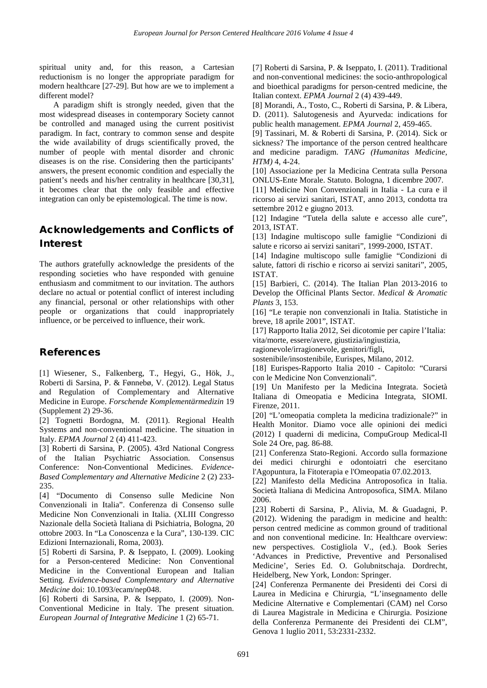spiritual unity and, for this reason, a Cartesian reductionism is no longer the appropriate paradigm for modern healthcare [27-29]. But how are we to implement a different model?

A paradigm shift is strongly needed, given that the most widespread diseases in contemporary Society cannot be controlled and managed using the current positivist paradigm. In fact, contrary to common sense and despite the wide availability of drugs scientifically proved, the number of people with mental disorder and chronic diseases is on the rise. Considering then the participants' answers, the present economic condition and especially the patient's needs and his/her centrality in healthcare [30,31], it becomes clear that the only feasible and effective integration can only be epistemological. The time is now.

# Acknowledgements and Conflicts of Interest

The authors gratefully acknowledge the presidents of the responding societies who have responded with genuine enthusiasm and commitment to our invitation. The authors declare no actual or potential conflict of interest including any financial, personal or other relationships with other people or organizations that could inappropriately influence, or be perceived to influence, their work.

### References

[1] Wiesener, S., Falkenberg, T., Hegyi, G., Hök, J., Roberti di Sarsina, P. & Fønnebø, V. (2012). Legal Status and Regulation of Complementary and Alternative Medicine in Europe. *Forschende Komplementärmedizin* 19 (Supplement 2) 29-36.

[2] Tognetti Bordogna, M. (2011). Regional Health Systems and non-conventional medicine. The situation in Italy. *EPMA Journal* 2 (4) 411-423.

[3] Roberti di Sarsina, P. (2005). 43rd National Congress of the Italian Psychiatric Association. Consensus Conference: Non-Conventional Medicines. *Evidence-Based Complementary and Alternative Medicine* 2 (2) 233- 235.

[4] "Documento di Consenso sulle Medicine Non Convenzionali in Italia". Conferenza di Consenso sulle Medicine Non Convenzionali in Italia. (XLIII Congresso Nazionale della Società Italiana di Psichiatria, Bologna, 20 ottobre 2003. In "La Conoscenza e la Cura", 130-139. CIC Edizioni Internazionali, Roma, 2003).

[5] Roberti di Sarsina, P. & Iseppato, I. (2009). Looking for a Person-centered Medicine: Non Conventional Medicine in the Conventional European and Italian Setting. *Evidence-based Complementary and Alternative Medicine* doi: 10.1093/ecam/nep048.

[6] Roberti di Sarsina, P. & Iseppato, I. (2009). Non-Conventional Medicine in Italy. The present situation. *European Journal of Integrative Medicine* 1 (2) 65-71.

[7] Roberti di Sarsina, P. & Iseppato, I. (2011). Traditional and non-conventional medicines: the socio-anthropological and bioethical paradigms for person-centred medicine, the Italian context. *EPMA Journal* 2 (4) 439-449.

[8] Morandi, A., Tosto, C., Roberti di Sarsina, P. & Libera, D. (2011). Salutogenesis and Ayurveda: indications for public health management. *EPMA Journal* 2, 459-465.

[9] Tassinari, M. & Roberti di Sarsina, P. (2014). Sick or sickness? The importance of the person centred healthcare and medicine paradigm. *TANG (Humanitas Medicine, HTM)* 4, 4-24.

[10] Associazione per la Medicina Centrata sulla Persona ONLUS-Ente Morale. Statuto. Bologna, 1 dicembre 2007.

[11] Medicine Non Convenzionali in Italia - La cura e il ricorso ai servizi sanitari, ISTAT, anno 2013, condotta tra settembre 2012 e giugno 2013.

[12] Indagine "Tutela della salute e accesso alle cure", 2013, ISTAT.

[13] Indagine multiscopo sulle famiglie "Condizioni di salute e ricorso ai servizi sanitari", 1999-2000, ISTAT.

[14] Indagine multiscopo sulle famiglie "Condizioni di salute, fattori di rischio e ricorso ai servizi sanitari", 2005, ISTAT.

[15] Barbieri, C. (2014). The Italian Plan 2013-2016 to Develop the Officinal Plants Sector. *Medical & Aromatic Plants* 3, 153.

[16] "Le terapie non convenzionali in Italia. Statistiche in breve, 18 aprile 2001", ISTAT.

[17] Rapporto Italia 2012, Sei dicotomie per capire l'Italia: vita/morte, essere/avere, giustizia/ingiustizia,

ragionevole/irragionevole, genitori/figli,

sostenibile/insostenibile, Eurispes, Milano, 2012.

[18] Eurispes-Rapporto Italia 2010 - Capitolo: "Curarsi con le Medicine Non Convenzionali".

[19] Un Manifesto per la Medicina Integrata. Società Italiana di Omeopatia e Medicina Integrata, SIOMI. Firenze, 2011.

[20] "L'omeopatia completa la medicina tradizionale?" in Health Monitor. Diamo voce alle opinioni dei medici (2012) I quaderni di medicina, CompuGroup Medical-Il Sole 24 Ore, pag. 86-88.

[21] Conferenza Stato-Regioni. Accordo sulla formazione dei medici chirurghi e odontoiatri che esercitano l'Agopuntura, la Fitoterapia e l'Omeopatia 07.02.2013.

[22] Manifesto della Medicina Antroposofica in Italia. Società Italiana di Medicina Antroposofica, SIMA. Milano 2006.

[23] Roberti di Sarsina, P., Alivia, M. & Guadagni, P. (2012). Widening the paradigm in medicine and health: person centred medicine as common ground of traditional and non conventional medicine. In: Healthcare overview: new perspectives. Costigliola V., (ed.). Book Series 'Advances in Predictive, Preventive and Personalised Medicine', Series Ed. O. Golubnitschaja. Dordrecht, Heidelberg, New York, London: Springer.

[24] Conferenza Permanente dei Presidenti dei Corsi di Laurea in Medicina e Chirurgia, "L'insegnamento delle Medicine Alternative e Complementari (CAM) nel Corso di Laurea Magistrale in Medicina e Chirurgia. Posizione della Conferenza Permanente dei Presidenti dei CLM", Genova 1 luglio 2011, 53:2331-2332.